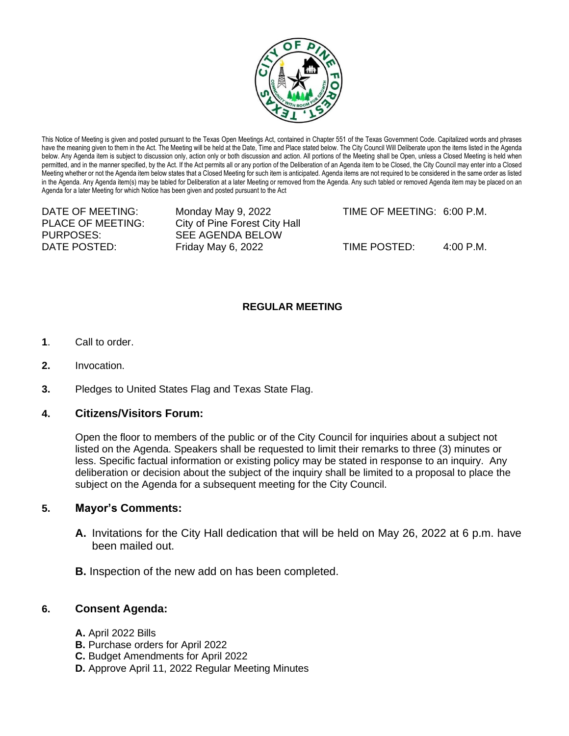

This Notice of Meeting is given and posted pursuant to the Texas Open Meetings Act, contained in Chapter 551 of the Texas Government Code. Capitalized words and phrases have the meaning given to them in the Act. The Meeting will be held at the Date, Time and Place stated below. The City Council Will Deliberate upon the items listed in the Agenda below. Any Agenda item is subject to discussion only, action only or both discussion and action. All portions of the Meeting shall be Open, unless a Closed Meeting is held when permitted, and in the manner specified, by the Act. If the Act permits all or any portion of the Deliberation of an Agenda item to be Closed, the City Council may enter into a Closed Meeting whether or not the Agenda item below states that a Closed Meeting for such item is anticipated. Agenda items are not required to be considered in the same order as listed in the Agenda. Any Agenda item(s) may be tabled for Deliberation at a later Meeting or removed from the Agenda. Any such tabled or removed Agenda item may be placed on an Agenda for a later Meeting for which Notice has been given and posted pursuant to the Act

PLACE OF MEETING: City of Pine Forest City Hall PURPOSES: SEE AGENDA BELOW

DATE OF MEETING: Monday May 9, 2022 TIME OF MEETING: 6:00 P.M.

DATE POSTED: Friday May 6, 2022 TIME POSTED: 4:00 P.M.

# **REGULAR MEETING**

- **1**. Call to order.
- **2.** Invocation.
- **3.** Pledges to United States Flag and Texas State Flag.

# **4. Citizens/Visitors Forum:**

Open the floor to members of the public or of the City Council for inquiries about a subject not listed on the Agenda. Speakers shall be requested to limit their remarks to three (3) minutes or less. Specific factual information or existing policy may be stated in response to an inquiry. Any deliberation or decision about the subject of the inquiry shall be limited to a proposal to place the subject on the Agenda for a subsequent meeting for the City Council.

# **5. Mayor's Comments:**

- **A.** Invitations for the City Hall dedication that will be held on May 26, 2022 at 6 p.m. have been mailed out.
- **B.** Inspection of the new add on has been completed.

# **6. Consent Agenda:**

- **A.** April 2022 Bills
- **B.** Purchase orders for April 2022
- **C.** Budget Amendments for April 2022
- **D.** Approve April 11, 2022 Regular Meeting Minutes